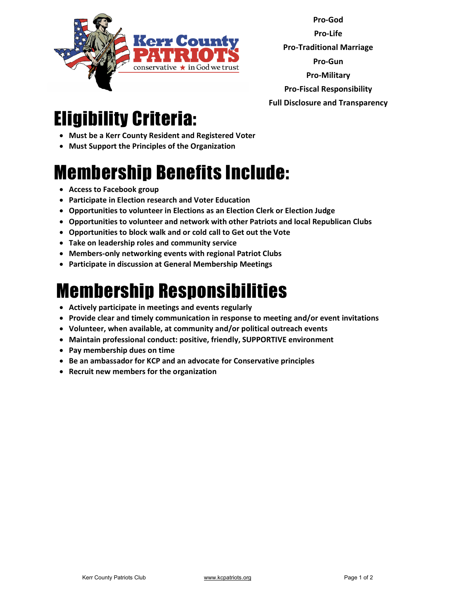

**Pro-God Pro-Life Pro-Traditional Marriage Pro-Gun Pro-Military Pro-Fiscal Responsibility Full Disclosure and Transparency** 

## Eligibility Criteria:

- **Must be a Kerr County Resident and Registered Voter**
- **Must Support the Principles of the Organization**

## Membership Benefits Include:

- **Access to Facebook group**
- **Participate in Election research and Voter Education**
- **Opportunities to volunteer in Elections as an Election Clerk or Election Judge**
- **Opportunities to volunteer and network with other Patriots and local Republican Clubs**
- **Opportunities to block walk and or cold call to Get out the Vote**
- **Take on leadership roles and community service**
- **Members-only networking events with regional Patriot Clubs**
- **Participate in discussion at General Membership Meetings**

## Membership Responsibilities

- **Actively participate in meetings and events regularly**
- **Provide clear and timely communication in response to meeting and/or event invitations**
- **Volunteer, when available, at community and/or political outreach events**
- **Maintain professional conduct: positive, friendly, SUPPORTIVE environment**
- **Pay membership dues on time**
- **Be an ambassador for KCP and an advocate for Conservative principles**
- **Recruit new members for the organization**